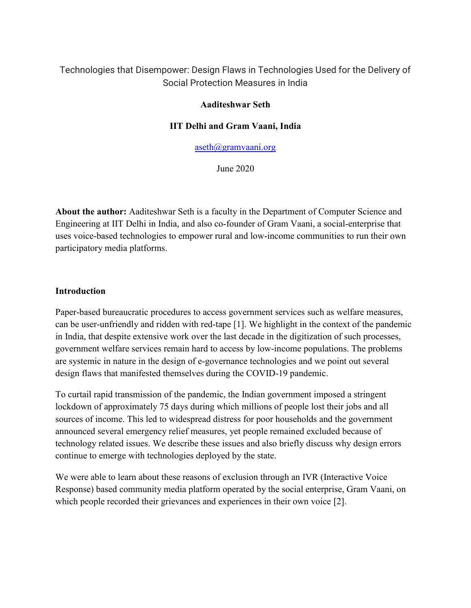# Technologies that Disempower: Design Flaws in Technologies Used for the Delivery of Social Protection Measures in India

## **Aaditeshwar Seth**

# **IIT Delhi and Gram Vaani, India**

[aseth@gramvaani.org](mailto:aseth@gramvaani.org)

June 2020

**About the author:** Aaditeshwar Seth is a faculty in the Department of Computer Science and Engineering at IIT Delhi in India, and also co-founder of Gram Vaani, a social-enterprise that uses voice-based technologies to empower rural and low-income communities to run their own participatory media platforms.

### **Introduction**

Paper-based bureaucratic procedures to access government services such as welfare measures, can be user-unfriendly and ridden with red-tape [1]. We highlight in the context of the pandemic in India, that despite extensive work over the last decade in the digitization of such processes, government welfare services remain hard to access by low-income populations. The problems are systemic in nature in the design of e-governance technologies and we point out several design flaws that manifested themselves during the COVID-19 pandemic.

To curtail rapid transmission of the pandemic, the Indian government imposed a stringent lockdown of approximately 75 days during which millions of people lost their jobs and all sources of income. This led to widespread distress for poor households and the government announced several emergency relief measures, yet people remained excluded because of technology related issues. We describe these issues and also briefly discuss why design errors continue to emerge with technologies deployed by the state.

We were able to learn about these reasons of exclusion through an IVR (Interactive Voice Response) based community media platform operated by the social enterprise, Gram Vaani, on which people recorded their grievances and experiences in their own voice [2].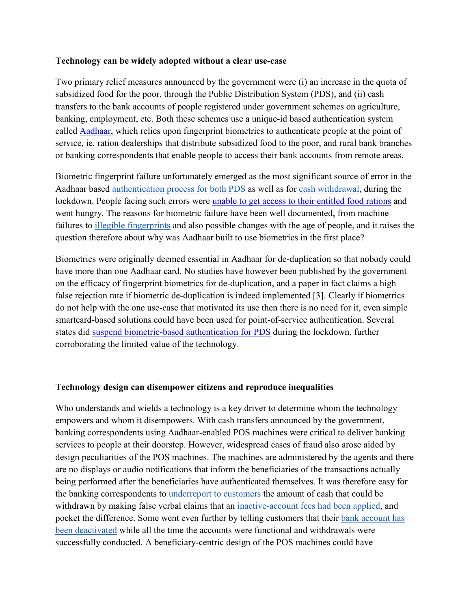### **Technology can be widely adopted without a clear use-case**

Two primary relief measures announced by the government were (i) an increase in the quota of subsidized food for the poor, through the Public Distribution System (PDS), and (ii) cash transfers to the bank accounts of people registered under government schemes on agriculture, banking, employment, etc. Both these schemes use a unique-id based authentication system called [Aadhaar,](https://en.wikipedia.org/wiki/Aadhaar) which relies upon fingerprint biometrics to authenticate people at the point of service, ie. ration dealerships that distribute subsidized food to the poor, and rural bank branches or banking correspondents that enable people to access their bank accounts from remote areas.

Biometric fingerprint failure unfortunately emerged as the most significant source of error in the Aadhaar based [authentication process for both PDS](https://www.dvara.com/research/wp-content/uploads/2020/05/Last-mile-Delivery-of-PM-Garib-Kalyan-Yojana-Benefits-during-the-COVID-19-Pandemic.pdf) as well as for [cash withdrawal,](https://www.livemint.com/opinion/columns/fix-the-problems-in-aadhaar-based-cash-transactions-11588930862806.html) during the lockdown. People facing such errors were [unable to get access to their entitled food rations](http://voice.gramvaani.org/fsmedia/recordings/1441/4209192.mp3) and went hungry. The reasons for biometric failure have been well documented, from machine failures to [illegible fingerprints](https://www.huffingtonpost.in/2018/04/19/an-81-year-old-space-scientist-wants-the-supreme-court-to-save-senior-citizens-from-aadhaar_a_23414358/) and also possible changes with the age of people, and it raises the question therefore about why was Aadhaar built to use biometrics in the first place?

Biometrics were originally deemed essential in Aadhaar for de-duplication so that nobody could have more than one Aadhaar card. No studies have however been published by the government on the efficacy of fingerprint biometrics for de-duplication, and a paper in fact claims a high false rejection rate if biometric de-duplication is indeed implemented [3]. Clearly if biometrics do not help with the one use-case that motivated its use then there is no need for it, even simple smartcard-based solutions could have been used for point-of-service authentication. Several states did suspend [biometric-based authentication for PDS](https://thewire.in/government/covid-19-aadhaar-dbt-and-a-reminder-of-the-issues-with-transaction-failure-data) during the lockdown, further corroborating the limited value of the technology.

# **Technology design can disempower citizens and reproduce inequalities**

Who understands and wields a technology is a key driver to determine whom the technology empowers and whom it disempowers. With cash transfers announced by the government, banking correspondents using Aadhaar-enabled POS machines were critical to deliver banking services to people at their doorstep. However, widespread cases of fraud also arose aided by design peculiarities of the POS machines. The machines are administered by the agents and there are no displays or audio notifications that inform the beneficiaries of the transactions actually being performed after the beneficiaries have authenticated themselves. It was therefore easy for the banking correspondents to *underreport* to customers the amount of cash that could be withdraw[n](http://voice.gramvaani.org/fsmedia/recordings/538/4019921.mp3) by making false verbal claims that an [inactive-account fees had been](http://voice.gramvaani.org/fsmedia/recordings/538/4019921.mp3) applied, and pocket the difference. Some went even further by telling customers that thei[r](http://voice.gramvaani.org/fsmedia/recordings/538/4026289.mp3) [bank account has](http://voice.gramvaani.org/fsmedia/recordings/538/4026289.mp3)  [been deactivated](http://voice.gramvaani.org/fsmedia/recordings/538/4026289.mp3) while all the time the accounts were functional and withdrawals were successfully conducted. A beneficiary-centric design of the POS machines could have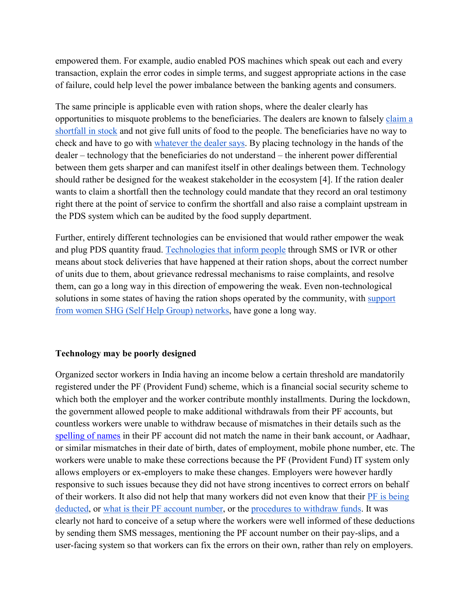empowered them. For example, audio enabled POS machines which speak out each and every transaction, explain the error codes in simple terms, and suggest appropriate actions in the case of failure, could help level the power imbalance between the banking agents and consumers.

The same principle is applicable even with ration shops, where the dealer clearly has opportunities to misquote problems to the beneficiaries. The dealers are known to falsely [claim a](http://api3.gramvaani.org/user/share/audio?i=3978053.mp3&d=f908cc4be1f45707&u=10280)  [shortfall in stock](http://api3.gramvaani.org/user/share/audio?i=3978053.mp3&d=f908cc4be1f45707&u=10280) and not give full units of food to the people. The beneficiaries have no way to check and have to go wit[h](http://api3.gramvaani.org/user/share/audio?i=3998593.mp3&d=75cdf496b5e1bf7e&u=659) [whatever the dealer says.](http://api3.gramvaani.org/user/share/audio?i=3998593.mp3&d=75cdf496b5e1bf7e&u=659) By placing technology in the hands of the dealer – technology that the beneficiaries do not understand – the inherent power differential between them gets sharper and can manifest itself in other dealings between them. Technology should rather be designed for the weakest stakeholder in the ecosystem [4]. If the ration dealer wants to claim a shortfall then the technology could mandate that they record an oral testimony right there at the point of service to confirm the shortfall and also raise a complaint upstream in the PDS system which can be audited by the food supply department.

Further, entirely different technologies can be envisioned that would rather empower the weak and plug PDS quantity fraud. [Technologies that inform people](https://www.huffingtonpost.in/alex-m-thomas/jean-dreze-s-sense-and-solidarity-jholawala-economics-for-everyone-rightly-underscores-ethics-and-social-norms_a_23227644/) through SMS or IVR or other means about stock deliveries that have happened at their ration shops, about the correct number of units due to them, about grievance redressal mechanisms to raise complaints, and resolve them, can go a long way in this direction of empowering the weak. Even non-technological solutions in some states of having the ration shops operated by the community, with [support](https://indianexpress.com/article/india/complaints-against-pds-dealers-in-jharkhand-bihar-amid-food-crisis-6376702/)  [from women SHG \(Self Help Group\) networks,](https://indianexpress.com/article/india/complaints-against-pds-dealers-in-jharkhand-bihar-amid-food-crisis-6376702/) have gone a long way.

### **Technology may be poorly designed**

Organized sector workers in India having an income below a certain threshold are mandatorily registered under the PF (Provident Fund) scheme, which is a financial social security scheme to which both the employer and the worker contribute monthly installments. During the lockdown, the government allowed people to make additional withdrawals from their PF accounts, but countless workers were unable to withdraw because of mismatches in their details such as the [spelling of names](http://voice.gramvaani.org/fsmedia/recordings/1129/3863816.mp3) in their PF account did not match the name in their bank account, or Aadhaar, or similar mismatches in their date of birth, dates of employment, mobile phone number, etc. The workers were unable to make these corrections because the PF (Provident Fund) IT system only allows employers or ex-employers to make these changes. Employers were however hardly responsive to such issues because they did not have strong incentives to correct errors on behalf of their workers. It also did not help that many workers did not even know that their [PF is being](http://voice.gramvaani.org/fsmedia/recordings/1129/3884020.mp3)  [deducted,](http://voice.gramvaani.org/fsmedia/recordings/1129/3884020.mp3) or [what is their PF account](http://voice.gramvaani.org/fsmedia/recordings/1129/3865283.mp3) number, or th[e](http://voice.gramvaani.org/fsmedia/recordings/1129/3882487.mp3) [procedures to withdraw funds.](http://voice.gramvaani.org/fsmedia/recordings/1129/3882487.mp3) It was clearly not hard to conceive of a setup where the workers were well informed of these deductions by sending them SMS messages, mentioning the PF account number on their pay-slips, and a user-facing system so that workers can fix the errors on their own, rather than rely on employers.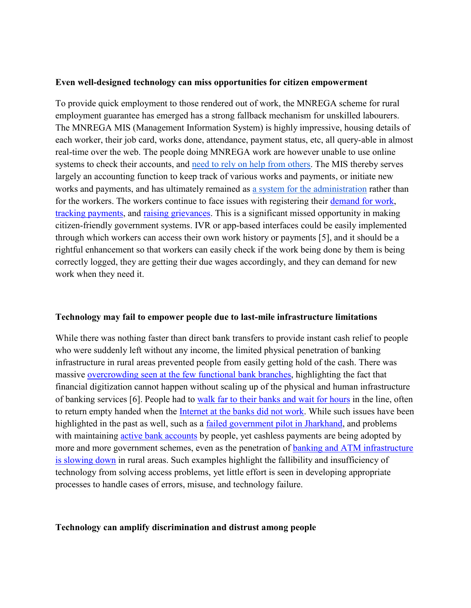#### **Even well-designed technology can miss opportunities for citizen empowerment**

To provide quick employment to those rendered out of work, the MNREGA scheme for rural employment guarantee has emerged has a strong fallback mechanism for unskilled labourers. The MNREGA MIS (Management Information System) is highly impressive, housing details of each worker, their job card, works done, attendance, payment status, etc, all query-able in almost real-time over the web. The people doing MNREGA work are however unable to use online systems to check their accounts, and [need to rely on help from others.](http://www.cse.iitd.ernet.in/~aseth/civilsocietygrievanceredressal.pdf) The MIS thereby serves largely an accounting function to keep track of various works and payments, or initiate new works and payments, and has ultimately remained as [a system for the administration](https://dl.acm.org/doi/10.1145/2516604.2516631) rather than for the workers. The workers continue to face issues with registering their [demand for work,](http://voice.gramvaani.org/fsmedia/recordings/436/4157935.mp3) [tracking payments,](http://voice.gramvaani.org/fsmedia/recordings/402/4150855.mp3) and [raising grievances.](http://api3.gramvaani.org/user/share/audio?i=4149337.mp3&d=ccdecd6de06618ee&u=14329) This is a significant missed opportunity in making citizen-friendly government systems. IVR or app-based interfaces could be easily implemented through which workers can access their own work history or payments [5], and it should be a rightful enhancement so that workers can easily check if the work being done by them is being correctly logged, they are getting their due wages accordingly, and they can demand for new work when they need it.

### **Technology may fail to empower people due to last-mile infrastructure limitations**

While there was nothing faster than direct bank transfers to provide instant cash relief to people who were suddenly left without any income, the limited physical penetration of banking infrastructure in rural areas prevented people from easily getting hold of the cash. There was massive [overcrowding seen at the few functional bank branches,](https://scroll.in/article/959730/cash-to-the-poor-is-good-but-will-they-be-able-to-access-it-safely-from-banks) highlighting the fact that financial digitization cannot happen without scaling up of the physical and human infrastructure of banking services [6]. People had to [walk far to their banks and wait for hours](http://voice.gramvaani.org/fsmedia/recordings/438/3944864.mp3) in the line, often to return empty handed when the Internet at the banks [did not work.](http://voice.gramvaani.org/fsmedia/recordings/436/3958897.mp3) While such issues have been highlighted in the past as well, such as a [failed government pilot in Jharkhand,](https://www.thehindu.com/society/in-ranchis-nagri-block-ration-rice-comes-at-a-heavy-price/article23000824.ece) and problems with maintaining [active bank accounts](https://www.thehindu.com/opinion/lead/a-bridge-to-nowhere/article26646131.ece) by people, yet cashless payments are being adopted by more and more government schemes, even as the penetration of [banking and](https://www.thehindubusinessline.com/money-and-banking/to-expand-atm-network-govt-must-offer-incentives-says-industry-body/article28973451.ece) ATM infrastructure is slowing down in rural areas. Such examples highlight the fallibility and insufficiency of technology from solving access problems, yet little effort is seen in developing appropriate processes to handle cases of errors, misuse, and technology failure.

#### **Technology can amplify discrimination and distrust among people**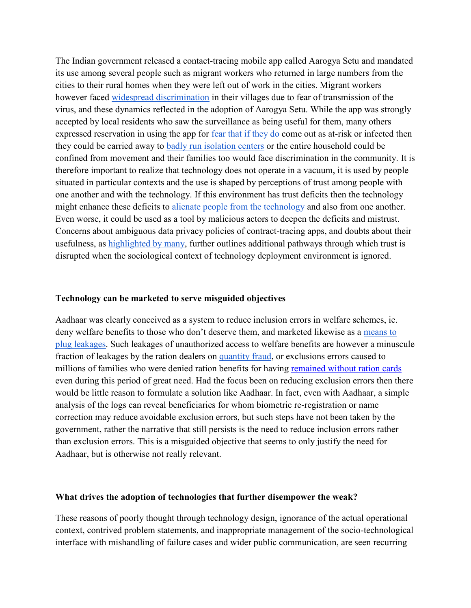The Indian government released a contact-tracing mobile app called Aarogya Setu and mandated its use among several people such as migrant workers who returned in large numbers from the cities to their rural homes when they were left out of work in the cities. Migrant workers however faced [widespread discrimination](http://voice.gramvaani.org/fsmedia/recordings/387/3966695.mp3) in their villages due to fear of transmission of the virus, and these dynamics reflected in the adoption of Aarogya Setu. While the app was strongly accepted by local residents who saw the surveillance as being useful for them, many others expressed reservation in using the app for [fear that if they do](http://voice.gramvaani.org/fsmedia/recordings/564/3995381.mp3) come out as at-risk or infected then they could be carried away to [badly run isolation centers](http://api3.gramvaani.org/user/share/audio?i=4024819.mp3&d=42b01c8e4b3a562d&u=10281) or the entire household could be confined from movement and their families too would face discrimination in the community. It is therefore important to realize that technology does not operate in a vacuum, it is used by people situated in particular contexts and the use is shaped by perceptions of trust among people with one another and with the technology. If this environment has trust deficits then the technology might enhance these deficits t[o](http://voice.gramvaani.org/fsmedia/recordings/436/3987594.mp3) [alienate people from the technology](http://voice.gramvaani.org/fsmedia/recordings/436/3987594.mp3) and also from one another. Even worse, it could be used as a tool by malicious actors to deepen the deficits and mistrust. Concerns about ambiguous data privacy policies of contract-tracing apps, and doubts about their usefulness, as [highlighted by many,](https://thewire.in/tech/covid-19-mobile-apps-india) further outlines additional pathways through which trust is disrupted when the sociological context of technology deployment environment is ignored.

#### **Technology can be marketed to serve misguided objectives**

Aadhaar was clearly conceived as a system to reduce inclusion errors in welfare schemes, ie. deny welfare benefits to those who don't deserve them, and marketed likewise as a [means to](https://economictimes.indiatimes.com/news/economy/policy/aadhaars-11-bn-question-the-numbers-being-touted-by-govt-have-no-solid-basis/articleshow/62830705.cms?from=mdr)  [plug leakages.](https://economictimes.indiatimes.com/news/economy/policy/aadhaars-11-bn-question-the-numbers-being-touted-by-govt-have-no-solid-basis/articleshow/62830705.cms?from=mdr) Such leakages of unauthorized access to welfare benefits are however a minuscule fraction of leakages by the ration dealers on [quantity fraud,](https://www.thehindubusinessline.com/opinion/books/the-many-pitfalls-of-aadhaar/article26488211.ece) or exclusions errors caused to millions of families who were denied ration benefits for having [remained without ration cards](http://voice.gramvaani.org/fsmedia/recordings/391/4075562.mp3) even during this period of great need. Had the focus been on reducing exclusion errors then there would be little reason to formulate a solution like Aadhaar. In fact, even with Aadhaar, a simple analysis of the logs can reveal beneficiaries for whom biometric re-registration or name correction may reduce avoidable exclusion errors, but such steps have not been taken by the government, rather the narrative that still persists is the need to reduce inclusion errors rather than exclusion errors. This is a misguided objective that seems to only justify the need for Aadhaar, but is otherwise not really relevant.

#### **What drives the adoption of technologies that further disempower the weak?**

These reasons of poorly thought through technology design, ignorance of the actual operational context, contrived problem statements, and inappropriate management of the socio-technological interface with mishandling of failure cases and wider public communication, are seen recurring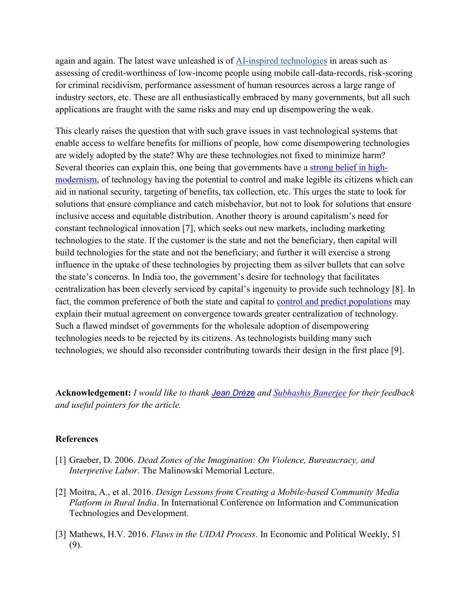again and again. The latest wave unleashed is of [AI-inspired technologies](https://en.wikipedia.org/wiki/Weapons_of_Math_Destruction) in areas such as assessing of credit-worthiness of low-income people using mobile call-data-records, risk-scoring for criminal recidivism, performance assessment of human resources across a large range of industry sectors, etc. These are all enthusiastically embraced by many governments, but all such applications are fraught with the same risks and may end up disempowering the weak.

This clearly raises the question that with such grave issues in vast technological systems that enable access to welfare benefits for millions of people, how come disempowering technologies are widely adopted by the state? Why are these technologies not fixed to minimize harm? Several theories can explain this, one being that governments have a [strong belief in high](https://en.wikipedia.org/wiki/Seeing_Like_a_State)[modernism,](https://en.wikipedia.org/wiki/Seeing_Like_a_State) of technology having the potential to control and make legible its citizens which can aid in national security, targeting of benefits, tax collection, etc. This urges the state to look for solutions that ensure compliance and catch misbehavior, but not to look for solutions that ensure inclusive access and equitable distribution. Another theory is around capitalism's need for constant technological innovation [7], which seeks out new markets, including marketing technologies to the state. If the customer is the state and not the beneficiary, then capital will build technologies for the state and not the beneficiary; and further it will exercise a strong influence in the uptake of these technologies by projecting them as silver bullets that can solve the state's concerns. In India too, the government's desire for technology that facilitates centralization has been cleverly serviced by capital's ingenuity to provide such technology [8]. In fact, the common preference of both the state and capital to [control and predict populations](https://en.wikipedia.org/wiki/The_Age_of_Surveillance_Capitalism) may explain their mutual agreement on convergence towards greater centralization of technology. Such a flawed mindset of governments for the wholesale adoption of disempowering technologies needs to be rejected by its citizens. As technologists building many such technologies, we should also reconsider contributing towards their design in the first place [9].

**Acknowledgement:** *I would like to thank [Jean Drèze](https://en.wikipedia.org/wiki/Jean_Dr%C3%A8ze) and [Subhashis Banerjee](http://www.cse.iitd.ernet.in/~suban/) for their feedback and useful pointers for the article.* 

### **References**

- [1] Graeber, D. 2006. *Dead Zones of the Imagination: On Violence, Bureaucracy, and Interpretive Labor*. The Malinowski Memorial Lecture.
- [2] Moitra, A., et al. 2016. *Design Lessons from Creating a Mobile-based Community Media Platform in Rural India*. In International Conference on Information and Communication Technologies and Development.
- [3] Mathews, H.V. 2016. *Flaws in the UIDAI Process*. In Economic and Political Weekly, 51 (9).